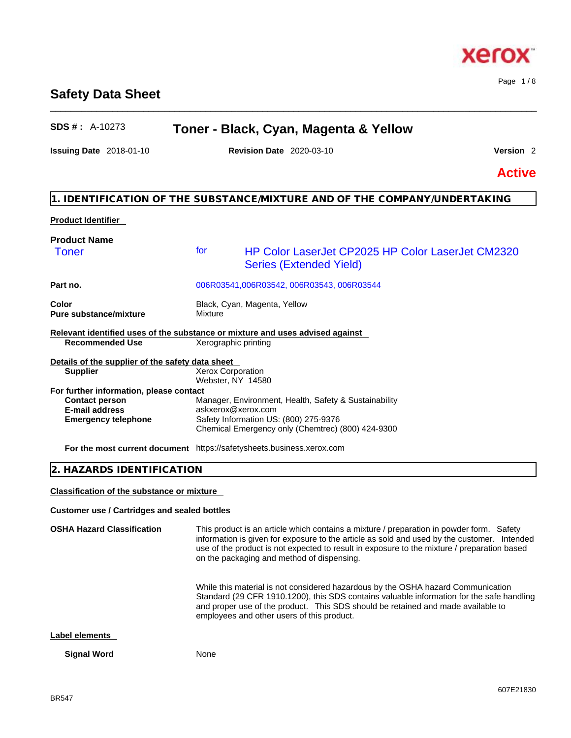# **Safety Data Sheet**

# **SDS # :** A-10273 **Toner - Black, Cyan, Magenta & Yellow**

\_\_\_\_\_\_\_\_\_\_\_\_\_\_\_\_\_\_\_\_\_\_\_\_\_\_\_\_\_\_\_\_\_\_\_\_\_\_\_\_\_\_\_\_\_\_\_\_\_\_\_\_\_\_\_\_\_\_\_\_\_\_\_\_\_\_\_\_\_\_\_\_\_\_\_\_\_\_\_\_\_\_\_\_\_\_\_\_\_\_\_\_\_\_

**Issuing Date** 2018-01-10 **Revision Date** 2020-03-10 **Version** 2

Page 1 / 8

**Active**

# **1. IDENTIFICATION OF THE SUBSTANCE/MIXTURE AND OF THE COMPANY/UNDERTAKING**

# **Product Identifier Product Name Part no.** 006R03541,006R03542, 006R03543, 006R03544 **Color Color Color Black, Cyan, Magenta, Yellow Pure substance/mixture** Mixture **Relevant identified uses of the substance or mixture and uses advised against Recommended Use** Xerographic printing **Details of the supplier of the safety data sheet For further information, please contact Emergency telephone** Safety Information US: (800) 275-9376 Chemical Emergency only (Chemtrec) (800) 424-9300 **For the most current document** https://safetysheets.business.xerox.com Toner for HP Color LaserJet CP2025 HP Color LaserJet CM2320 Series (Extended Yield) **Supplier Xerox Corporation** Webster, NY 14580 **Contact person** Manager, Environment, Health, Safety & Sustainability **E-mail address** askxerox@xerox.com

### **2. HAZARDS IDENTIFICATION**

**Classification of the substance or mixture**

#### **Customer use / Cartridges and sealed bottles**

**OSHA Hazard Classification** This product is an article which contains a mixture / preparation in powder form. Safety information is given for exposure to the article as sold and used by the customer. Intended use of the product is not expected to result in exposure to the mixture / preparation based on the packaging and method of dispensing.

> While this material is not considered hazardous by the OSHA hazard Communication Standard (29 CFR 1910.1200), this SDS contains valuable information for the safe handling and proper use of the product. This SDS should be retained and made available to employees and other users of this product.

#### **Label elements**

#### **Signal Word** None



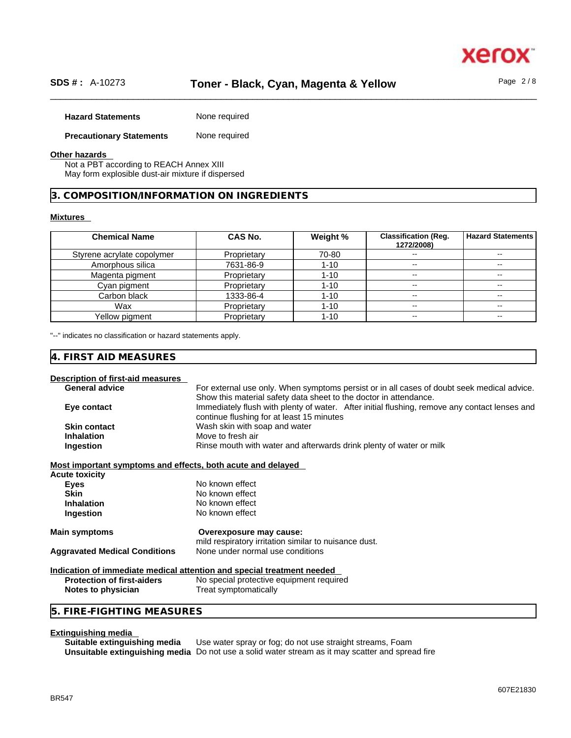# \_\_\_\_\_\_\_\_\_\_\_\_\_\_\_\_\_\_\_\_\_\_\_\_\_\_\_\_\_\_\_\_\_\_\_\_\_\_\_\_\_\_\_\_\_\_\_\_\_\_\_\_\_\_\_\_\_\_\_\_\_\_\_\_\_\_\_\_\_\_\_\_\_\_\_\_\_\_\_\_\_\_\_\_\_\_\_\_\_\_\_\_\_\_ **SDS # :** A-10273 **Toner - Black, Cyan, Magenta & Yellow** Page 2 / 8

| <b>Hazard Statements</b> | None required |
|--------------------------|---------------|
|                          |               |

# **Precautionary Statements** None required

#### **Other hazards**

Not a PBT according to REACH Annex XIII May form explosible dust-air mixture if dispersed

#### **3. COMPOSITION/INFORMATION ON INGREDIENTS**

#### **Mixtures**

| <b>Chemical Name</b>       | CAS No.     | Weight % | <b>Classification (Reg.</b><br>1272/2008) | <b>Hazard Statements</b> |
|----------------------------|-------------|----------|-------------------------------------------|--------------------------|
| Styrene acrylate copolymer | Proprietary | 70-80    |                                           |                          |
| Amorphous silica           | 7631-86-9   | $1 - 10$ |                                           | --                       |
| Magenta pigment            | Proprietary | $1 - 10$ |                                           |                          |
| Cyan pigment               | Proprietary | $1 - 10$ | $- -$                                     |                          |
| Carbon black               | 1333-86-4   | 1-10     | $- -$                                     | $- -$                    |
| Wax                        | Proprietary | 1-10     | $\overline{\phantom{m}}$                  | $- -$                    |
| Yellow pigment             | Proprietary | 1-10     | $\overline{\phantom{m}}$                  | $- -$                    |

"--" indicates no classification or hazard statements apply.

#### **4. FIRST AID MEASURES**

#### **Description of first-aid measures**

| <b>General advice</b> | For external use only. When symptoms persist or in all cases of doubt seek medical advice.    |
|-----------------------|-----------------------------------------------------------------------------------------------|
|                       | Show this material safety data sheet to the doctor in attendance.                             |
| Eye contact           | Immediately flush with plenty of water. After initial flushing, remove any contact lenses and |
|                       | continue flushing for at least 15 minutes                                                     |
| <b>Skin contact</b>   | Wash skin with soap and water                                                                 |
| <b>Inhalation</b>     | Move to fresh air                                                                             |
| Ingestion             | Rinse mouth with water and afterwards drink plenty of water or milk                           |
|                       |                                                                                               |

#### **Most important symptoms and effects, both acute and delayed**

| <b>Acute toxicity</b>                |                                                                                  |  |
|--------------------------------------|----------------------------------------------------------------------------------|--|
| Eyes                                 | No known effect                                                                  |  |
| <b>Skin</b>                          | No known effect                                                                  |  |
| <b>Inhalation</b>                    | No known effect                                                                  |  |
| Ingestion                            | No known effect                                                                  |  |
| Main symptoms                        | Overexposure may cause:<br>mild respiratory irritation similar to nuisance dust. |  |
| <b>Aggravated Medical Conditions</b> | None under normal use conditions                                                 |  |
|                                      | Indication of immediate medical attention and special treatment needed           |  |

#### **Protection of first-aiders** No special protective equipment required **Notes to physician** Treat symptomatically

#### **5. FIRE-FIGHTING MEASURES**

**Extinguishing media**  Use water spray or fog; do not use straight streams, Foam **Unsuitable extinguishing media** Do not use a solid water stream as it may scatterand spread fire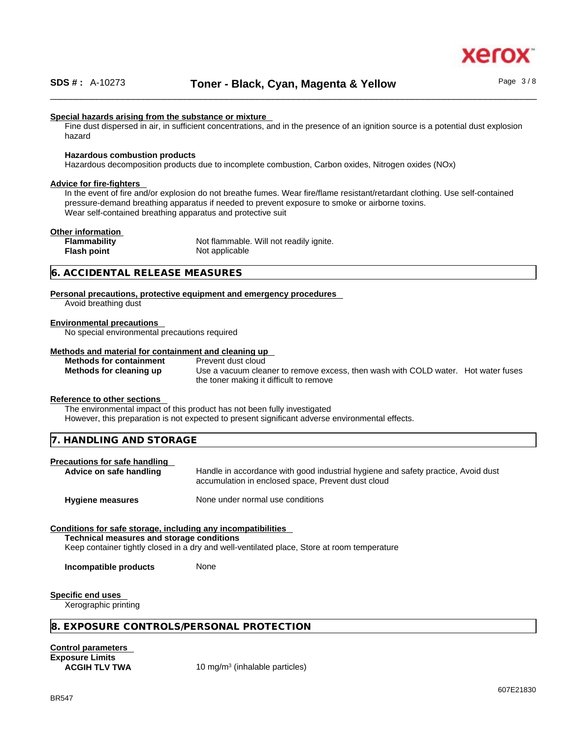

#### **Special hazards arising from the substance or mixture**

Fine dust dispersed in air, in sufficient concentrations, and in the presence of an ignition source is a potential dust explosion hazard

#### **Hazardous combustion products**

Hazardous decomposition products due to incomplete combustion, Carbon oxides, Nitrogen oxides (NOx)

#### **Advice for fire-fighters**

In the event of fire and/or explosion do not breathe fumes. Wear fire/flame resistant/retardant clothing. Use self-contained pressure-demand breathing apparatus if needed to prevent exposure to smoke or airborne toxins. Wear self-contained breathing apparatus and protective suit

#### **Other information**

| .            |                                         |  |
|--------------|-----------------------------------------|--|
| Flammability | Not flammable. Will not readily ignite. |  |
| Flash point  | Not applicable                          |  |
|              |                                         |  |

#### **6. ACCIDENTAL RELEASE MEASURES**

**Personal precautions, protective equipment and emergency procedures** Avoid breathing dust

**Environmental precautions** 

No special environmental precautions required

#### **Methods and material for containment and cleaning up**

**Methods for containment** Prevent dust cloud

**Methods for cleaning up** Use a vacuum cleaner to remove excess, then wash with COLD water. Hot water fuses the toner making it difficult to remove

#### **Reference to other sections**

The environmental impact of this product has not been fully investigated However, this preparation is not expected to present significant adverse environmental effects.

**7. HANDLING AND STORAGE** 

#### **Precautions for safe handling**

Advice on safe handling **Handle** in accordance with good industrial hygiene and safety practice, Avoid dust accumulation in enclosed space, Prevent dust cloud

**Hygiene measures** None under normal use conditions

#### **Conditions for safe storage, including any incompatibilities**

**Technical measures and storage conditions**

Keep container tightly closed in a dry and well-ventilated place, Store at room temperature

**Incompatible products** None

**Specific end uses** 

Xerographic printing

#### **8. EXPOSURE CONTROLS/PERSONAL PROTECTION**

**Control parameters Exposure Limits**

**ACGIH TLV TWA** 10 mg/m<sup>3</sup> (inhalable particles)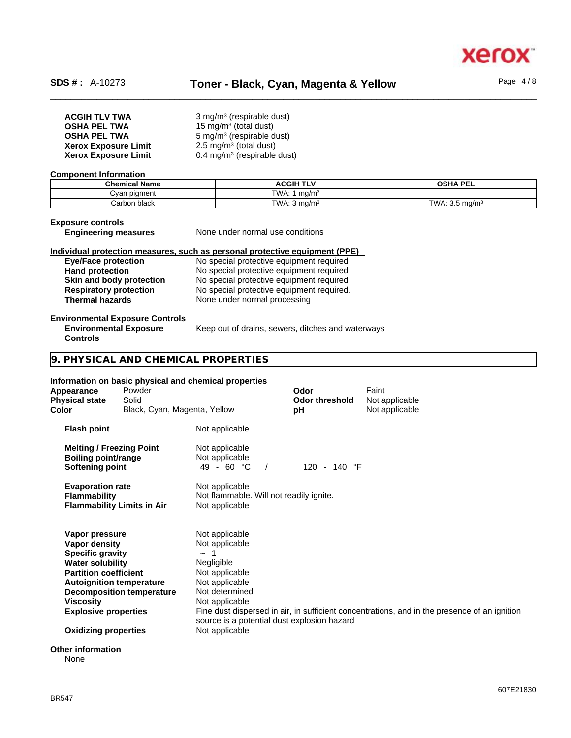

| <b>ACGIH TLV TWA</b>        | 3 mg/m <sup>3</sup> (respirable dust)  |
|-----------------------------|----------------------------------------|
| <b>OSHA PEL TWA</b>         | 15 mg/m <sup>3</sup> (total dust)      |
| <b>OSHA PEL TWA</b>         | 5 mg/m <sup>3</sup> (respirable dust)  |
| <b>Xerox Exposure Limit</b> | $2.5 \text{ mg/m}^3$ (total dust)      |
| <b>Xerox Exposure Limit</b> | $0.4 \text{ mg/m}^3$ (respirable dust) |

#### **Component Information**

| <b>Chemical Name</b> | <b>ACGIH TLV</b>          | <b>OSHA PEL</b>                      |
|----------------------|---------------------------|--------------------------------------|
| oiament ו<br>∨anٽ    | TWA:<br>ma/m <sup>3</sup> |                                      |
| Carbon black         | TWA: 3<br>⊦ma/mª          | $TIMA \cdot 35$<br>ma/m <sup>3</sup> |

**Controls** 

**Exposure controls**<br> **Engineering measures** 

**None under normal use conditions** 

# **Individual protection measures, such as personal protective equipment (PPE)**

**Eye/Face protection**<br> **Exercise 2** No special protective equipment required<br>
No special protective equipment required No special protective equipment required **Skin and body protection** No special protective equipment required **Respiratory protection** No special protective equipment required. **Respiratory protection** No special protective equipment required.<br> **Thermal hazards** None under normal processing **None under normal processing** 

#### **Environmental Exposure Controls**

**Environmental Exposure** Keep out of drains, sewers, ditches and waterways

### **9. PHYSICAL AND CHEMICAL PROPERTIES**

#### **Information on basic physical and chemical properties**

| Appearance<br><b>Physical state</b><br>Color                                                                                                                      | Powder<br>Solid<br>Black, Cyan, Magenta, Yellow                     |                                                                                                                                                                                       | Odor<br><b>Odor threshold</b><br>рH | Faint<br>Not applicable<br>Not applicable                                                    |
|-------------------------------------------------------------------------------------------------------------------------------------------------------------------|---------------------------------------------------------------------|---------------------------------------------------------------------------------------------------------------------------------------------------------------------------------------|-------------------------------------|----------------------------------------------------------------------------------------------|
| <b>Flash point</b>                                                                                                                                                |                                                                     | Not applicable                                                                                                                                                                        |                                     |                                                                                              |
| <b>Melting / Freezing Point</b><br><b>Boiling point/range</b><br>Softening point                                                                                  |                                                                     | Not applicable<br>Not applicable<br>49 - 60 °C                                                                                                                                        | 120 - 140 °F                        |                                                                                              |
| <b>Evaporation rate</b><br><b>Flammability</b>                                                                                                                    | <b>Flammability Limits in Air</b>                                   | Not applicable<br>Not flammable. Will not readily ignite.<br>Not applicable                                                                                                           |                                     |                                                                                              |
| Vapor pressure<br>Vapor density<br><b>Specific gravity</b><br><b>Water solubility</b><br><b>Partition coefficient</b><br>Viscosity<br><b>Explosive properties</b> | <b>Autoignition temperature</b><br><b>Decomposition temperature</b> | Not applicable<br>Not applicable<br>-1<br>$\sim$<br>Negligible<br>Not applicable<br>Not applicable<br>Not determined<br>Not applicable<br>source is a potential dust explosion hazard |                                     | Fine dust dispersed in air, in sufficient concentrations, and in the presence of an ignition |
| <b>Oxidizing properties</b>                                                                                                                                       |                                                                     | Not applicable                                                                                                                                                                        |                                     |                                                                                              |
|                                                                                                                                                                   |                                                                     |                                                                                                                                                                                       |                                     |                                                                                              |

#### **Other information**

None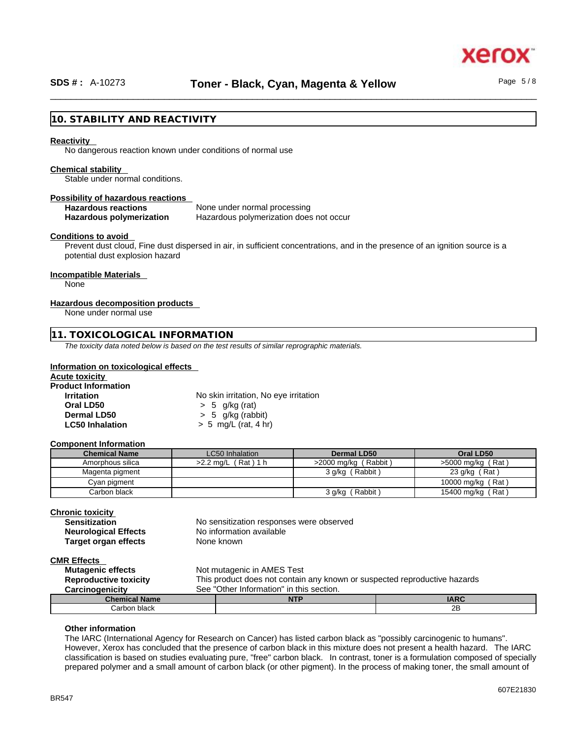### **10. STABILITY AND REACTIVITY**

#### **Reactivity**

No dangerous reaction known under conditions of normal use

#### **Chemical stability**

Stable under normal conditions.

#### **Possibility of hazardous reactions**

**Hazardous reactions** None under normal processing **Hazardous polymerization** Hazardous polymerization does not occur

#### **Conditions to avoid**

Prevent dust cloud, Fine dust dispersed in air, in sufficient concentrations, and in the presence of an ignition source is a potential dust explosion hazard

#### **Incompatible Materials**

None

#### **Hazardous decomposition products**

None under normal use

#### **11. TOXICOLOGICAL INFORMATION**

*The toxicity data noted below is based on the test results of similar reprographic materials.* 

#### **Information on toxicological effects**

| Acute toxicity             |                                       |  |
|----------------------------|---------------------------------------|--|
| <b>Product Information</b> |                                       |  |
| <b>Irritation</b>          | No skin irritation, No eye irritation |  |
| Oral LD50                  | $> 5$ g/kg (rat)                      |  |
| Dermal LD50                | $> 5$ g/kg (rabbit)                   |  |
| <b>LC50 Inhalation</b>     | $> 5$ mg/L (rat, 4 hr)                |  |

#### **Component Information**

| <b>Chemical Name</b> | LC50 Inhalation        | Dermal LD50            | Oral LD50           |
|----------------------|------------------------|------------------------|---------------------|
| Amorphous silica     | Rat 1 h<br>$>2.2$ ma/L | $>2000$ mg/kg (Rabbit) | $>5000$ mg/kg (Rat) |
| Magenta pigment      |                        | (Rabbit)<br>3 g/kg     | $'$ Rat)<br>23 g/kg |
| Cyan pigment         |                        |                        | 10000 mg/kg (Rat)   |
| Carbon black         |                        | Rabbit<br>3 g/kg       | 15400 mg/kg (Rat)   |

# **Chronic toxicity**

| <b>Sensitization</b>        |
|-----------------------------|
| <b>Neurological Effects</b> |
| <b>Target organ effects</b> |

No sensitization responses were observed **No information available None known** 

#### **CMR Effects**

| <b>Mutagenic effects</b>           | Not mutagenic in AMES Test                                                |             |    |  |
|------------------------------------|---------------------------------------------------------------------------|-------------|----|--|
| <b>Reproductive toxicity</b>       | This product does not contain any known or suspected reproductive hazards |             |    |  |
| Carcinogenicity                    | See "Other Information" in this section.                                  |             |    |  |
| <b>Chemical Name</b><br><b>NTP</b> |                                                                           | <b>IARC</b> |    |  |
| Carbon black                       |                                                                           |             | 2B |  |

#### **Other information**

The IARC (International Agency for Research on Cancer) has listed carbon black as "possibly carcinogenic to humans". However, Xerox has concluded that the presence of carbon black in this mixture does not present a health hazard. The IARC classification is based on studies evaluating pure, "free" carbon black. In contrast, toner is a formulation composed of specially prepared polymer and a small amount of carbon black (or other pigment). In the process of making toner, the small amount of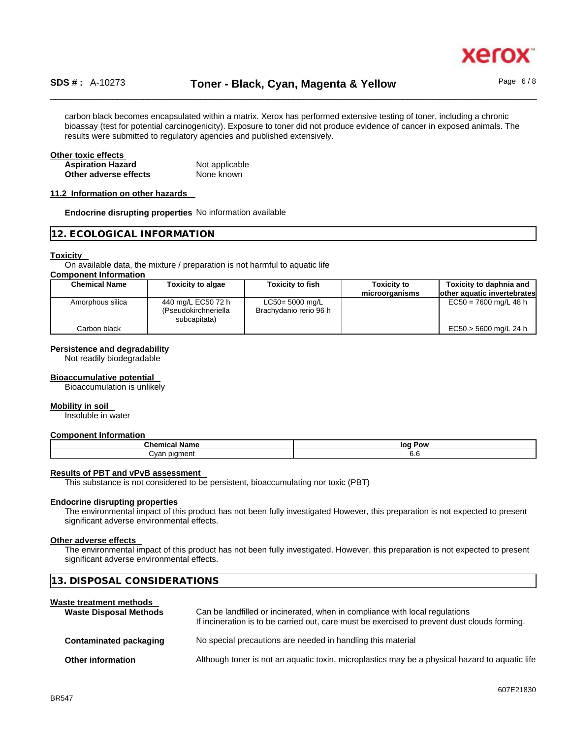

# \_\_\_\_\_\_\_\_\_\_\_\_\_\_\_\_\_\_\_\_\_\_\_\_\_\_\_\_\_\_\_\_\_\_\_\_\_\_\_\_\_\_\_\_\_\_\_\_\_\_\_\_\_\_\_\_\_\_\_\_\_\_\_\_\_\_\_\_\_\_\_\_\_\_\_\_\_\_\_\_\_\_\_\_\_\_\_\_\_\_\_\_\_\_ **SDS # :** A-10273 **Toner - Black, Cyan, Magenta & Yellow** Page 6 / 8

carbon black becomes encapsulated within a matrix. Xerox has performed extensive testing of toner, including a chronic bioassay (test for potential carcinogenicity). Exposure to toner did not produce evidence of cancer in exposed animals. The results were submitted to regulatory agencies and published extensively.

#### **Other toxic effects**

| <b>Aspiration Hazard</b> | Not applicable |
|--------------------------|----------------|
| Other adverse effects    | None known     |

#### **11.2 Information on other hazards**

**Endocrine disrupting properties** No information available

#### **12. ECOLOGICAL INFORMATION**

#### **Toxicity**

On available data, the mixture / preparation is not harmful to aquatic life

#### **Component Information**

| <b>Chemical Name</b> | <b>Toxicity to algae</b>                                   | <b>Toxicity to fish</b>                   | <b>Toxicity to</b><br>microorganisms | Toxicity to daphnia and<br>other aquatic invertebrates |
|----------------------|------------------------------------------------------------|-------------------------------------------|--------------------------------------|--------------------------------------------------------|
| Amorphous silica     | 440 mg/L EC50 72 h<br>(Pseudokirchneriella<br>subcapitata) | LC50= 5000 mg/L<br>Brachydanio rerio 96 h |                                      | $EC50 = 7600$ mg/L 48 h                                |
| Carbon black         |                                                            |                                           |                                      | $EC50 > 5600$ mg/L 24 h                                |

#### **Persistence and degradability**

Not readily biodegradable

#### **Bioaccumulative potential**

Bioaccumulation is unlikely

#### **Mobility in soil**

Insoluble in water

#### **Component Information**

| Chemical<br><b>Name</b> | log Pow    |  |
|-------------------------|------------|--|
| piament<br>`van         | v.c<br>- - |  |

#### **Results of PBT and vPvB assessment**

This substance is not considered to be persistent, bioaccumulating nor toxic (PBT)

#### **Endocrine disrupting properties**

The environmental impact of this product has not been fully investigated However, this preparation is not expected to present significant adverse environmental effects.

#### **Other adverse effects**

The environmental impact of this product has not been fully investigated. However, this preparation is not expected to present significant adverse environmental effects.

| 13. DISPOSAL CONSIDERATIONS                              |                                                                                                                                                                             |  |
|----------------------------------------------------------|-----------------------------------------------------------------------------------------------------------------------------------------------------------------------------|--|
| Waste treatment methods<br><b>Waste Disposal Methods</b> | Can be landfilled or incinerated, when in compliance with local regulations<br>If incineration is to be carried out, care must be exercised to prevent dust clouds forming. |  |
| Contaminated packaging                                   | No special precautions are needed in handling this material                                                                                                                 |  |
| Other information                                        | Although toner is not an aquatic toxin, microplastics may be a physical hazard to aquatic life                                                                              |  |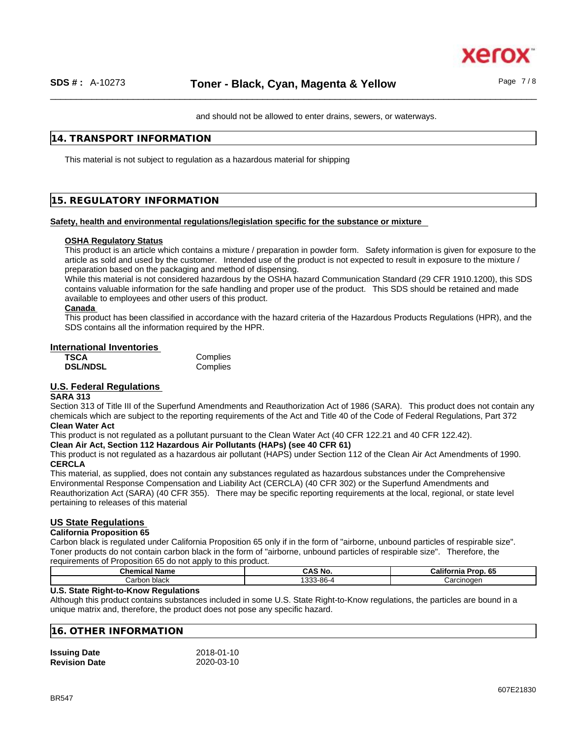

and should not be allowed to enter drains, sewers, or waterways.

### **14. TRANSPORT INFORMATION**

This material is not subject to regulation as a hazardous material for shipping

## **15. REGULATORY INFORMATION**

#### **Safety, health and environmental regulations/legislation specific for the substance or mixture**

#### **OSHA Regulatory Status**

This product is an article which contains a mixture / preparation in powder form. Safety information is given for exposure to the article as sold and used by the customer. Intended use of the product is not expected to result in exposure to the mixture / preparation based on the packaging and method of dispensing.

While this material is not considered hazardous by the OSHA hazard Communication Standard (29 CFR 1910.1200), this SDS contains valuable information for the safe handling and proper use of the product. This SDS should be retained and made available to employees and other users of this product.

#### **Canada**

This product has been classified in accordance with the hazard criteria of the Hazardous Products Regulations (HPR), and the SDS contains all the information required by the HPR.

#### **International Inventories**

| <b>TSCA</b>     | Complies |
|-----------------|----------|
| <b>DSL/NDSL</b> | Complies |

# **U.S. Federal Regulations**

#### **SARA 313**

Section 313 of Title III of the Superfund Amendments and Reauthorization Act of 1986 (SARA). This product does not contain any chemicals which are subject to the reporting requirements of the Act and Title 40 of the Code of Federal Regulations, Part 372 **Clean Water Act**

This product is not regulated as a pollutant pursuant to the Clean Water Act (40 CFR 122.21 and 40 CFR 122.42).

#### **Clean Air Act,Section 112 Hazardous Air Pollutants (HAPs) (see 40 CFR 61)**

This product is not regulated as a hazardous air pollutant (HAPS) under Section 112 of the Clean Air Act Amendments of 1990. **CERCLA**

This material, as supplied, does not contain any substances regulated as hazardous substances under the Comprehensive Environmental Response Compensation and Liability Act (CERCLA) (40 CFR 302) or the Superfund Amendments and Reauthorization Act (SARA) (40 CFR 355). There may be specific reporting requirements at the local, regional, or state level pertaining to releases of this material

#### **US State Regulations**

#### **California Proposition 65**

Carbon black is regulated under California Proposition 65 only if in the form of "airborne, unbound particles of respirable size". Toner products do not contain carbon black in the form of "airborne, unbound particles of respirable size". Therefore, the requirements of Proposition 65 do not apply to this product.

| . .<br>Chemical<br>Name         | CAS<br>.No                    | <b>GF</b><br>California<br>Pron.<br>. UJ |
|---------------------------------|-------------------------------|------------------------------------------|
| Carbor<br>hlook<br><b>DIACK</b> | $\sim$<br>0C<br>3-80-4<br>ບບບ | Jarcınoqen<br>∵اα                        |

#### **U.S. State Right-to-Know Regulations**

Although this product contains substances included in some U.S. State Right-to-Know regulations, the particles are bound in a unique matrix and, therefore, the product does not pose any specific hazard.

#### **16. OTHER INFORMATION**

| <b>Issuing Date</b>  | 2018-01-10 |
|----------------------|------------|
| <b>Revision Date</b> | 2020-03-10 |